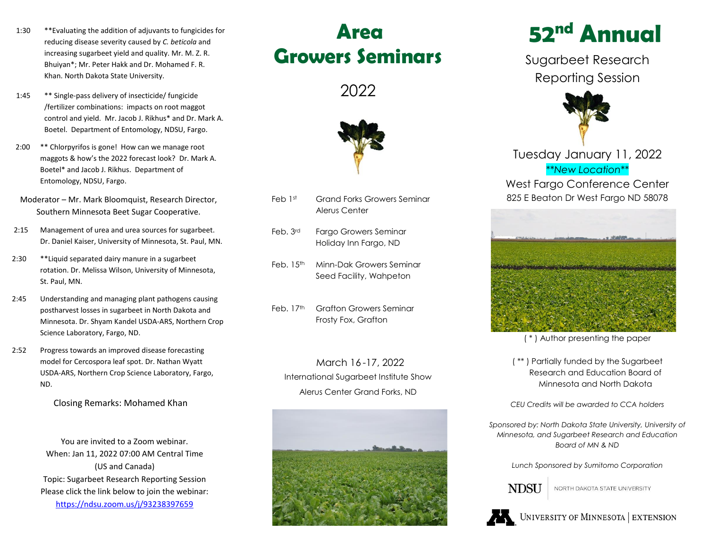- 1:30 \*\*Evaluating the addition of adjuvants to fungicides for reducing disease severity caused by *C. beticola* and increasing sugarbeet yield and quality. Mr. M. Z. R. Bhuiyan\*; Mr. Peter Hakk and Dr. Mohamed F. R. Khan. North Dakota State University.
- 1:45 \*\* Single-pass delivery of insecticide/ fungicide /fertilizer combinations: impacts on root maggot control and yield. Mr. Jacob J. Rikhus\* and Dr. Mark A. Boetel. Department of Entomology, NDSU, Fargo.
- 2:00 \*\* Chlorpyrifos is gone! How can we manage root maggots & how's the 2022 forecast look? Dr. Mark A. Boetel\* and Jacob J. Rikhus. Department of Entomology, NDSU, Fargo.
- Moderator Mr. Mark Bloomquist, Research Director, Southern Minnesota Beet Sugar Cooperative.
- 2:15 Management of urea and urea sources for sugarbeet. Dr. Daniel Kaiser, University of Minnesota, St. Paul, MN.
- 2:30 \*\*Liquid separated dairy manure in a sugarbeet rotation. Dr. Melissa Wilson, University of Minnesota, St. Paul, MN.
- 2:45 Understanding and managing plant pathogens causing postharvest losses in sugarbeet in North Dakota and Minnesota. Dr. Shyam Kandel USDA-ARS, Northern Crop Science Laboratory, Fargo, ND.
- 2:52 Progress towards an improved disease forecasting model for Cercospora leaf spot. Dr. Nathan Wyatt USDA-ARS, Northern Crop Science Laboratory, Fargo, ND.

Closing Remarks: Mohamed Khan

You are invited to a Zoom webinar. When: Jan 11, 2022 07:00 AM Central Time (US and Canada) Topic: Sugarbeet Research Reporting Session Please click the link below to join the webinar: <https://ndsu.zoom.us/j/93238397659>

# **Area Growers Seminars**

2022



- Feb 1st Grand Forks Growers Seminar Alerus Center
- Feb. 3rd Fargo Growers Seminar Holiday Inn Fargo, ND
- Feb. 15th Minn-Dak Growers Seminar Seed Facility, Wahpeton
- Feb. 17th Grafton Growers Seminar Frosty Fox, Grafton

March 16 -17, 2022 International Sugarbeet Institute Show Alerus Center Grand Forks, ND



# **52 nd Annual**

Sugarbeet Research Reporting Session



Tuesday January 11, 2022 *\*\*New Location\*\** West Fargo Conference Center 825 E Beaton Dr West Fargo ND 58078



( \* ) Author presenting the paper

( \*\* ) Partially funded by the Sugarbeet Research and Education Board of Minnesota and North Dakota

*CEU Credits will be awarded to CCA holders*

*Sponsored by: North Dakota State University, University of Minnesota, and Sugarbeet Research and Education Board of MN & ND*

*Lunch Sponsored by Sumitomo Corporation*



NORTH DAKOTA STATE UNIVERSITY



UNIVERSITY OF MINNESOTA EXTENSION